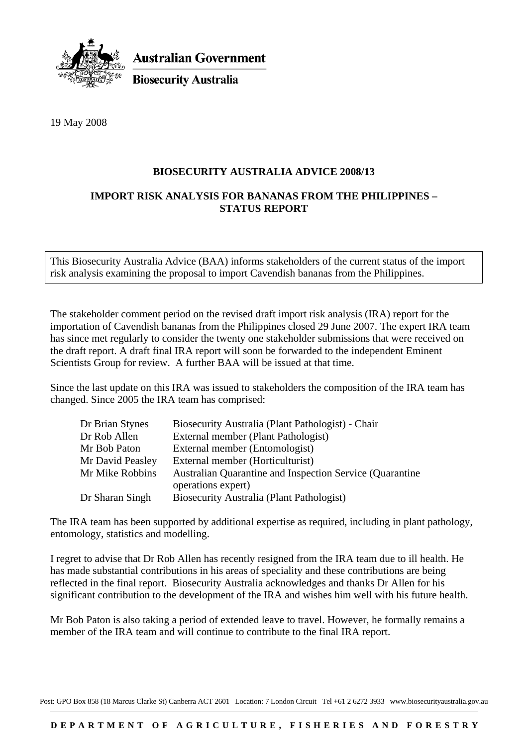

**Australian Government** 

**Biosecurity Australia** 

19 May 2008

## **BIOSECURITY AUSTRALIA ADVICE 2008/13**

## **IMPORT RISK ANALYSIS FOR BANANAS FROM THE PHILIPPINES – STATUS REPORT**

This Biosecurity Australia Advice (BAA) informs stakeholders of the current status of the import risk analysis examining the proposal to import Cavendish bananas from the Philippines.

The stakeholder comment period on the revised draft import risk analysis (IRA) report for the importation of Cavendish bananas from the Philippines closed 29 June 2007. The expert IRA team has since met regularly to consider the twenty one stakeholder submissions that were received on the draft report. A draft final IRA report will soon be forwarded to the independent Eminent Scientists Group for review. A further BAA will be issued at that time.

Since the last update on this IRA was issued to stakeholders the composition of the IRA team has changed. Since 2005 the IRA team has comprised:

| Dr Brian Stynes  | Biosecurity Australia (Plant Pathologist) - Chair                              |
|------------------|--------------------------------------------------------------------------------|
| Dr Rob Allen     | External member (Plant Pathologist)                                            |
| Mr Bob Paton     | External member (Entomologist)                                                 |
| Mr David Peasley | External member (Horticulturist)                                               |
| Mr Mike Robbins  | Australian Quarantine and Inspection Service (Quarantine<br>operations expert) |
| Dr Sharan Singh  | Biosecurity Australia (Plant Pathologist)                                      |

The IRA team has been supported by additional expertise as required, including in plant pathology, entomology, statistics and modelling.

I regret to advise that Dr Rob Allen has recently resigned from the IRA team due to ill health. He has made substantial contributions in his areas of speciality and these contributions are being reflected in the final report. Biosecurity Australia acknowledges and thanks Dr Allen for his significant contribution to the development of the IRA and wishes him well with his future health.

Mr Bob Paton is also taking a period of extended leave to travel. However, he formally remains a member of the IRA team and will continue to contribute to the final IRA report.

Post: GPO Box 858 (18 Marcus Clarke St) Canberra ACT 2601 Location: 7 London Circuit Tel +61 2 6272 3933 www.biosecurityaustralia.gov.au